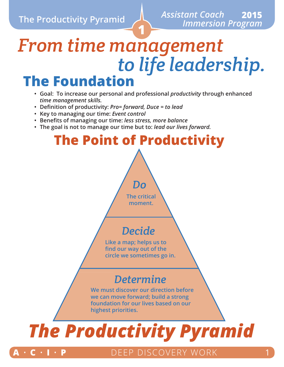# **1** *From time management to life leadership.* **The Foundation**

- **• Goal: To increase our personal and professional** *productivity* **through enhanced**  *time management skills.*
- **• Definition of productivity:** *Pro= forward, Duce = to lead*
- **• Key to managing our time:** *Event control*
- **• Benefits of managing our time:** *less stress, more balance*
- **• The goal is not to manage our time but to:** *lead our lives forward.*

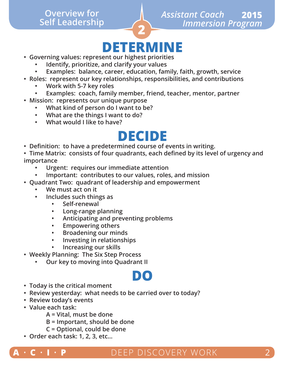# **Self Leadership**

# **DETERMINE • Governing values: represent our highest priorities**

**2**

- - **• Identify, prioritize, and clarify your values**
	- **• Examples: balance, career, education, family, faith, growth, service**
- **• Roles: represent our key relationships, responsibilities, and contributions**
	- **• Work with 5-7 key roles**
	- **• Examples: coach, family member, friend, teacher, mentor, partner**
- **• Mission: represents our unique purpose**
	- **• What kind of person do I want to be?**
	- **• What are the things I want to do?**
	- **• What would I like to have?**

- **DECIDE • Definition: to have a predetermined course of events in writing.**
- **• Time Matrix: consists of four quadrants, each defined by its level of urgency and importance**
	- **• Urgent: requires our immediate attention**
	- **• Important: contributes to our values, roles, and mission**
- **• Quadrant Two: quadrant of leadership and empowerment**
	- **• We must act on it**
	- **• Includes such things as**
		- **• Self-renewal**
		- **• Long-range planning**
		- **• Anticipating and preventing problems**
		- **• Empowering others**
		- **• Broadening our minds**
		- **• Investing in relationships**
		- **• Increasing our skills**
- **• Weekly Planning: The Six Step Process**
	- **• Our key to moving into Quadrant II**

- **DO • Today is the critical moment**
- **• Review yesterday: what needs to be carried over to today?**
- **• Review today's events**
- **• Value each task:**
	- **A = Vital, must be done**
	- **B = Important, should be done**
	- **C = Optional, could be done**
- **• Order each task: 1, 2, 3, etc…**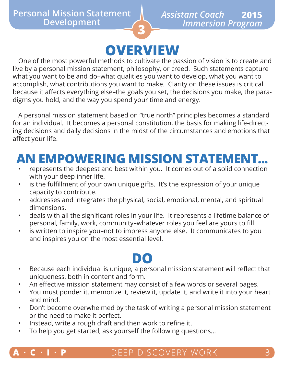## **OVERVIEW**

**3**

One of the most powerful methods to cultivate the passion of vision is to create and live by a personal mission statement, philosophy, or creed. Such statements capture what you want to be and do–what qualities you want to develop, what you want to accomplish, what contributions you want to make. Clarity on these issues is critical because it affects everything else–the goals you set, the decisions you make, the paradigms you hold, and the way you spend your time and energy.

A personal mission statement based on "true north" principles becomes a standard for an individual. It becomes a personal constitution, the basis for making life-directing decisions and daily decisions in the midst of the circumstances and emotions that affect your life.

## **AN EMPOWERING MISSION STATEMENT...**

- represents the deepest and best within you. It comes out of a solid connection with your deep inner life.
- is the fulfillment of your own unique gifts. It's the expression of your unique capacity to contribute.
- addresses and integrates the physical, social, emotional, mental, and spiritual dimensions.
- deals with all the significant roles in your life. It represents a lifetime balance of personal, family, work, community–whatever roles you feel are yours to fill.
- is written to inspire you-not to impress anyone else. It communicates to you and inspires you on the most essential level.

- **DO** Because each individual is unique, a personal mission statement will reflect that uniqueness, both in content and form.
- An effective mission statement may consist of a few words or several pages.
- You must ponder it, memorize it, review it, update it, and write it into your heart and mind.
- Don't become overwhelmed by the task of writing a personal mission statement or the need to make it perfect.
- Instead, write a rough draft and then work to refine it.
- To help you get started, ask yourself the following questions…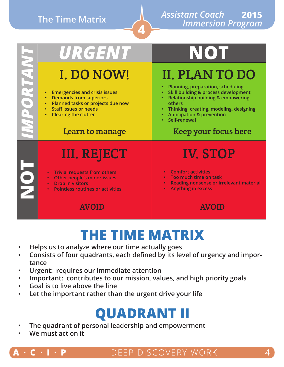## **The Time Matrix**

#### *Assistant Coach* **2015**  *Immersion Program*

| URGENT                                                                                                                                                                                                                  | NOT                                                                                                                                                                                                                                                                                                  |  |
|-------------------------------------------------------------------------------------------------------------------------------------------------------------------------------------------------------------------------|------------------------------------------------------------------------------------------------------------------------------------------------------------------------------------------------------------------------------------------------------------------------------------------------------|--|
| I. DO NOW!<br><b>Emergencies and crisis issues</b><br><b>Demands from superiors</b><br>Planned tasks or projects due now<br>$\bullet$<br><b>Staff issues or needs</b><br><b>Clearing the clutter</b><br>Learn to manage | <b>II. PLANTO DO</b><br>Planning, preparation, scheduling<br>$\bullet$<br>Skill building & process development<br><b>Relationship building &amp; empowering</b><br>others<br>Thinking, creating, modeling, designing<br><b>Anticipation &amp; prevention</b><br>Self-renewal<br>Keep your focus here |  |
| <b>III. REJECT</b><br><b>Trivial requests from others</b><br>Other people's minor issues<br><b>Drop in visitors</b><br>$\bullet$<br><b>Pointless routines or activities</b>                                             | <b>IV. STOP</b><br><b>Comfort activities</b><br>$\bullet$<br>Too much time on task<br>$\bullet$<br><b>Reading nonsense or irrelevant material</b><br>$\bullet$<br><b>Anything in excess</b>                                                                                                          |  |
| <b>AVOID</b>                                                                                                                                                                                                            | <b>AVOID</b>                                                                                                                                                                                                                                                                                         |  |

**4**

## **THE TIME MATRIX**

- **• Helps us to analyze where our time actually goes**
- **• Consists of four quadrants, each defined by its level of urgency and importance**
- **• Urgent: requires our immediate attention**
- **• Important: contributes to our mission, values, and high priority goals**
- **• Goal is to live above the line**
- **• Let the important rather than the urgent drive your life**

## **QUADRANT II**

- **• The quadrant of personal leadership and empowerment**
- **• We must act on it**



### $\cdot$  **P** DEEP DISCOVERY WORK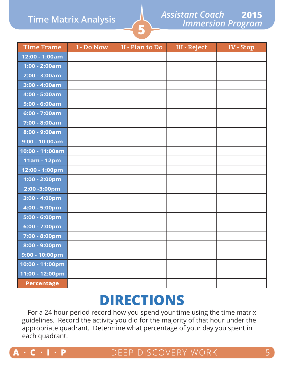### **Time Matrix Analysis**

#### *Assistant Coach Immersion Program* **2015**

| <b>Time Frame</b> | I - Do Now | II - Plan to Do | <b>III - Reject</b> | IV - Stop |
|-------------------|------------|-----------------|---------------------|-----------|
| 12:00 - 1:00am    |            |                 |                     |           |
| $1:00 - 2:00am$   |            |                 |                     |           |
| $2:00 - 3:00am$   |            |                 |                     |           |
| $3:00 - 4:00am$   |            |                 |                     |           |
| 4:00 - 5:00am     |            |                 |                     |           |
| $5:00 - 6:00am$   |            |                 |                     |           |
| $6:00 - 7:00am$   |            |                 |                     |           |
| 7:00 - 8:00am     |            |                 |                     |           |
| 8:00 - 9:00am     |            |                 |                     |           |
| $9:00 - 10:00am$  |            |                 |                     |           |
| 10:00 - 11:00am   |            |                 |                     |           |
| 11am - 12pm       |            |                 |                     |           |
| 12:00 - 1:00pm    |            |                 |                     |           |
| 1:00 - 2:00pm     |            |                 |                     |           |
| 2:00 - 3:00pm     |            |                 |                     |           |
| 3:00 - 4:00pm     |            |                 |                     |           |
| 4:00 - 5:00pm     |            |                 |                     |           |
| 5:00 - 6:00pm     |            |                 |                     |           |
| 6:00 - 7:00pm     |            |                 |                     |           |
| 7:00 - 8:00pm     |            |                 |                     |           |
| 8:00 - 9:00pm     |            |                 |                     |           |
| 9:00 - 10:00pm    |            |                 |                     |           |
| 10:00 - 11:00pm   |            |                 |                     |           |
| 11:00 - 12:00pm   |            |                 |                     |           |
| <b>Percentage</b> |            |                 |                     |           |

**5**

## **DIRECTIONS**

For a 24 hour period record how you spend your time using the time matrix guidelines. Record the activity you did for the majority of that hour under the appropriate quadrant. Determine what percentage of your day you spent in each quadrant.

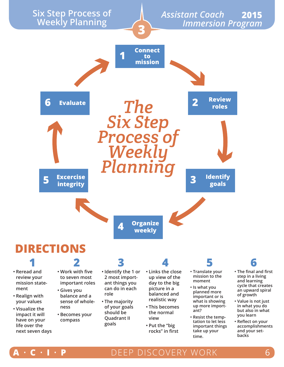

- **• Becomes your compass**
- **should be Quadrant II goals**
- **the normal view**
- **• Put the "big rocks" in first**
- **ant?**
- **• Resist the temptation to let less important things take up your time.**
- **• The final and first step in a living cycle that creates an upward spiral**
- **• Value is not just in what you do but also in what you learn**
- **• Reflect on your accomplishments and your setbacks**

**impact it will have on your life over the next seven days**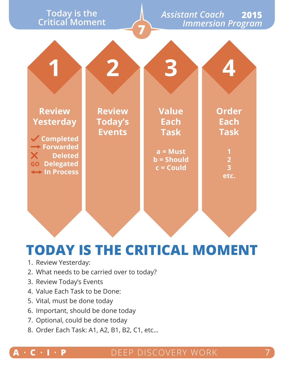# **Critical Moment**

#### *Assistant Coach Immersion Program* **Today is the 2015**

|                                                                                                                                 |                                                  | 3                                                                                |                                                                                                       |
|---------------------------------------------------------------------------------------------------------------------------------|--------------------------------------------------|----------------------------------------------------------------------------------|-------------------------------------------------------------------------------------------------------|
| <b>Review</b><br><b>Yesterday</b><br><b>√ Completed</b><br>$\rightarrow$ Forwarded<br>X Deleted<br>GO Delegated<br>A In Process | <b>Review</b><br><b>Today's</b><br><b>Events</b> | <b>Value</b><br>Each<br><b>Task</b><br>$a = Must$<br>$b =$ Should<br>$c =$ Could | <b>Order</b><br><b>Each</b><br><b>Task</b><br>$\mathbf 1$<br>$\overline{2}$<br>$\overline{3}$<br>etc. |

**7**

## **TODAY IS THE CRITICAL MOMENT**

- 1. Review Yesterday:
- 2. What needs to be carried over to today?
- 3. Review Today's Events
- 4. Value Each Task to be Done:
- 5. Vital, must be done today
- 6. Important, should be done today
- 7. Optional, could be done today
- 8. Order Each Task: A1, A2, B1, B2, C1, etc…

### **A** • **C** • **I** • **P** DEEP DISCOVERY WORK 7